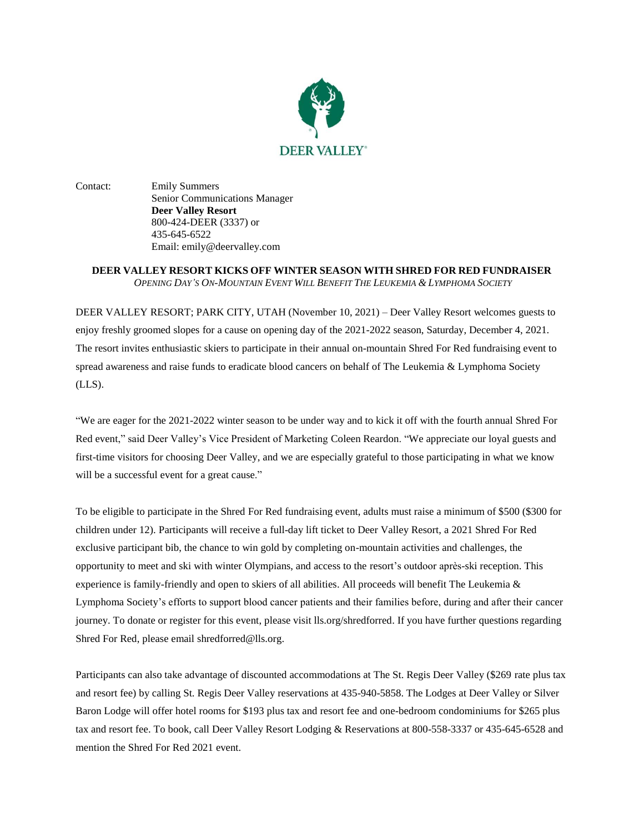

Contact: Emily Summers Senior Communications Manager **Deer Valley Resort** 800-424-DEER (3337) or 435-645-6522 Email: emily@deervalley.com

## **DEER VALLEY RESORT KICKS OFF WINTER SEASON WITH SHRED FOR RED FUNDRAISER** OPENING DAY'S ON-MOUNTAIN EVENT WILL BENEFIT THE LEUKEMIA & LYMPHOMA SOCIETY

DEER VALLEY RESORT; PARK CITY, UTAH (November 10, 2021) – Deer Valley Resort welcomes guests to enjoy freshly groomed slopes for a cause on opening day of the 2021-2022 season, Saturday, December 4, 2021. The resort invites enthusiastic skiers to participate in their annual on-mountain Shred For Red fundraising event to spread awareness and raise funds to eradicate blood cancers on behalf of The Leukemia & Lymphoma Society (LLS).

"We are eager for the 2021-2022 winter season to be under way and to kick it off with the fourth annual Shred For Red event," said Deer Valley's Vice President of Marketing Coleen Reardon. "We appreciate our loyal guests and first-time visitors for choosing Deer Valley, and we are especially grateful to those participating in what we know will be a successful event for a great cause."

To be eligible to participate in the Shred For Red fundraising event, adults must raise a minimum of \$500 (\$300 for children under 12). Participants will receive a full-day lift ticket to Deer Valley Resort, a 2021 Shred For Red exclusive participant bib, the chance to win gold by completing on-mountain activities and challenges, the opportunity to meet and ski with winter Olympians, and access to the resort's outdoor après-ski reception. This experience is family-friendly and open to skiers of all abilities. All proceeds will benefit The Leukemia & Lymphoma Society's efforts to support blood cancer patients and their families before, during and after their cancer journey. To donate or register for this event, please visi[t lls.org/shredforred.](https://cure.lls.org/event/2021-shred-for-red/e329274) If you have further questions regarding Shred For Red, please email [shredforred@lls.org.](mailto:shredforred@lls.org)

Participants can also take advantage of discounted accommodations at The St. Regis Deer Valley (\$269 rate plus tax and resort fee) by calling St. Regis Deer Valley reservations at 435-940-5858. The Lodges at Deer Valley or Silver Baron Lodge will offer hotel rooms for \$193 plus tax and resort fee and one-bedroom condominiums for \$265 plus tax and resort fee. To book, call Deer Valley Resort Lodging & Reservations at 800-558-3337 or 435-645-6528 and mention the Shred For Red 2021 event.